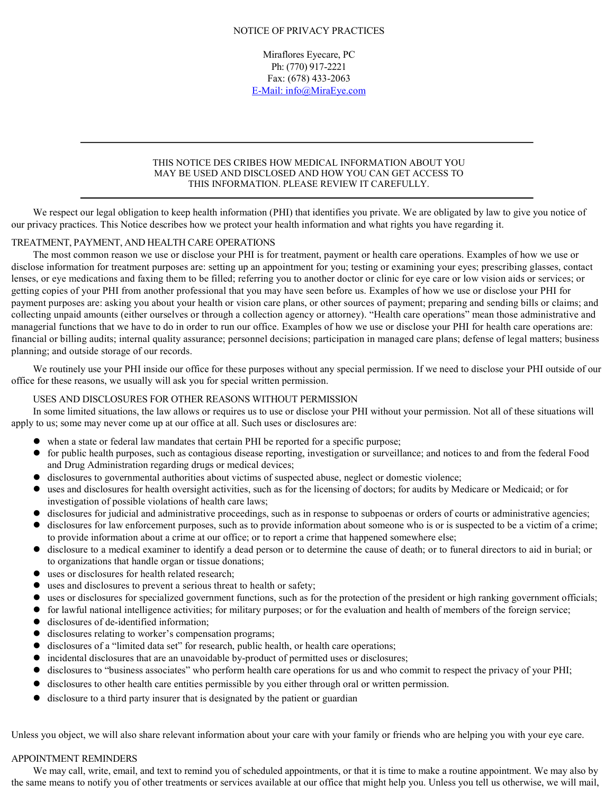## NOTICE OF PRIVACY PRACTICES

Miraflores Eyecare, PC Ph: (770) 917-2221 Fax: (678) 433-2063 E-Mail: info@MiraEye.com

### THIS NOTICE DES CRIBES HOW MEDICAL INFORMATION ABOUT YOU MAY BE USED AND DISCLOSED AND HOW YOU CAN GET ACCESS TO THIS INFORMATION. PLEASE REVIEW IT CAREFULLY.

We respect our legal obligation to keep health information (PHI) that identifies you private. We are obligated by law to give you notice of our privacy practices. This Notice describes how we protect your health information and what rights you have regarding it.

# TREATMENT, PAYMENT, AND HEALTH CARE OPERATIONS

The most common reason we use or disclose your PHI is for treatment, payment or health care operations. Examples of how we use or disclose information for treatment purposes are: setting up an appointment for you; testing or examining your eyes; prescribing glasses, contact lenses, or eye medications and faxing them to be filled; referring you to another doctor or clinic for eye care or low vision aids or services; or getting copies of your PHI from another professional that you may have seen before us. Examples of how we use or disclose your PHI for payment purposes are: asking you about your health or vision care plans, or other sources of payment; preparing and sending bills or claims; and collecting unpaid amounts (either ourselves or through a collection agency or attorney). "Health care operations" mean those administrative and managerial functions that we have to do in order to run our office. Examples of how we use or disclose your PHI for health care operations are: financial or billing audits; internal quality assurance; personnel decisions; participation in managed care plans; defense of legal matters; business planning; and outside storage of our records.

We routinely use your PHI inside our office for these purposes without any special permission. If we need to disclose your PHI outside of our office for these reasons, we usually will ask you for special written permission.

# USES AND DISCLOSURES FOR OTHER REASONS WITHOUT PERMISSION

In some limited situations, the law allows or requires us to use or disclose your PHI without your permission. Not all of these situations will apply to us; some may never come up at our office at all. Such uses or disclosures are:

- when a state or federal law mandates that certain PHI be reported for a specific purpose;
- for public health purposes, such as contagious disease reporting, investigation or surveillance; and notices to and from the federal Food and Drug Administration regarding drugs or medical devices;
- disclosures to governmental authorities about victims of suspected abuse, neglect or domestic violence;
- uses and disclosures for health oversight activities, such as for the licensing of doctors; for audits by Medicare or Medicaid; or for investigation of possible violations of health care laws;
- disclosures for judicial and administrative proceedings, such as in response to subpoenas or orders of courts or administrative agencies;
- disclosures for law enforcement purposes, such as to provide information about someone who is or is suspected to be a victim of a crime; to provide information about a crime at our office; or to report a crime that happened somewhere else;
- disclosure to a medical examiner to identify a dead person or to determine the cause of death; or to funeral directors to aid in burial; or to organizations that handle organ or tissue donations;
- uses or disclosures for health related research;
- uses and disclosures to prevent a serious threat to health or safety;
- uses or disclosures for specialized government functions, such as for the protection of the president or high ranking government officials;
- for lawful national intelligence activities; for military purposes; or for the evaluation and health of members of the foreign service;
- disclosures of de-identified information;
- disclosures relating to worker's compensation programs;
- disclosures of a "limited data set" for research, public health, or health care operations;
- incidental disclosures that are an unavoidable by-product of permitted uses or disclosures;
- disclosures to "business associates" who perform health care operations for us and who commit to respect the privacy of your PHI;
- disclosures to other health care entities permissible by you either through oral or written permission.
- disclosure to a third party insurer that is designated by the patient or guardian

Unless you object, we will also share relevant information about your care with your family or friends who are helping you with your eye care.

### APPOINTMENT REMINDERS

We may call, write, email, and text to remind you of scheduled appointments, or that it is time to make a routine appointment. We may also by the same means to notify you of other treatments or services available at our office that might help you. Unless you tell us otherwise, we will mail,